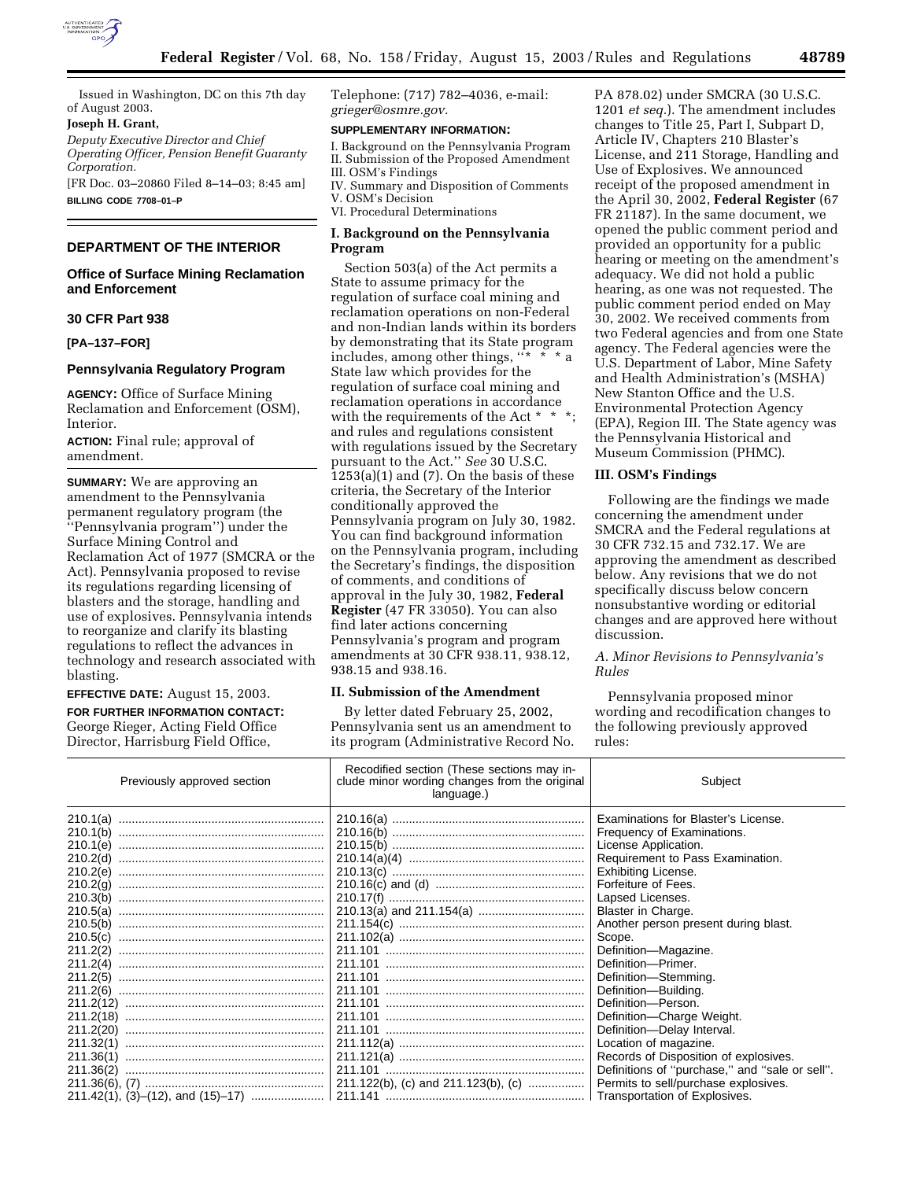

Issued in Washington, DC on this 7th day of August 2003.

#### **Joseph H. Grant,**

*Deputy Executive Director and Chief Operating Officer, Pension Benefit Guaranty Corporation.*

[FR Doc. 03–20860 Filed 8–14–03; 8:45 am] **BILLING CODE 7708–01–P**

### **DEPARTMENT OF THE INTERIOR**

## **Office of Surface Mining Reclamation and Enforcement**

#### **30 CFR Part 938**

**[PA–137–FOR]** 

#### **Pennsylvania Regulatory Program**

**AGENCY:** Office of Surface Mining Reclamation and Enforcement (OSM), Interior.

**ACTION:** Final rule; approval of amendment.

**SUMMARY:** We are approving an amendment to the Pennsylvania permanent regulatory program (the ''Pennsylvania program'') under the Surface Mining Control and Reclamation Act of 1977 (SMCRA or the Act). Pennsylvania proposed to revise its regulations regarding licensing of blasters and the storage, handling and use of explosives. Pennsylvania intends to reorganize and clarify its blasting regulations to reflect the advances in technology and research associated with blasting.

#### **EFFECTIVE DATE:** August 15, 2003.

**FOR FURTHER INFORMATION CONTACT:** George Rieger, Acting Field Office Director, Harrisburg Field Office,

Telephone: (717) 782–4036, e-mail: *grieger@osmre.gov.*

### **SUPPLEMENTARY INFORMATION:**

I. Background on the Pennsylvania Program II. Submission of the Proposed Amendment III. OSM's Findings

IV. Summary and Disposition of Comments

V. OSM's Decision

VI. Procedural Determinations

# **I. Background on the Pennsylvania Program**

Section 503(a) of the Act permits a State to assume primacy for the regulation of surface coal mining and reclamation operations on non-Federal and non-Indian lands within its borders by demonstrating that its State program includes, among other things,  $\frac{1}{x}$   $\frac{x}{x}$   $\frac{x}{y}$  a State law which provides for the regulation of surface coal mining and reclamation operations in accordance with the requirements of the Act \* \* \*; and rules and regulations consistent with regulations issued by the Secretary pursuant to the Act.'' *See* 30 U.S.C.  $1253(a)(1)$  and (7). On the basis of these criteria, the Secretary of the Interior conditionally approved the Pennsylvania program on July 30, 1982. You can find background information on the Pennsylvania program, including the Secretary's findings, the disposition of comments, and conditions of approval in the July 30, 1982, **Federal Register** (47 FR 33050). You can also find later actions concerning Pennsylvania's program and program amendments at 30 CFR 938.11, 938.12, 938.15 and 938.16.

#### **II. Submission of the Amendment**

By letter dated February 25, 2002, Pennsylvania sent us an amendment to its program (Administrative Record No. PA 878.02) under SMCRA (30 U.S.C. 1201 *et seq.*). The amendment includes changes to Title 25, Part I, Subpart D, Article IV, Chapters 210 Blaster's License, and 211 Storage, Handling and Use of Explosives. We announced receipt of the proposed amendment in the April 30, 2002, **Federal Register** (67 FR 21187). In the same document, we opened the public comment period and provided an opportunity for a public hearing or meeting on the amendment's adequacy. We did not hold a public hearing, as one was not requested. The public comment period ended on May 30, 2002. We received comments from two Federal agencies and from one State agency. The Federal agencies were the U.S. Department of Labor, Mine Safety and Health Administration's (MSHA) New Stanton Office and the U.S. Environmental Protection Agency (EPA), Region III. The State agency was the Pennsylvania Historical and Museum Commission (PHMC).

#### **III. OSM's Findings**

Following are the findings we made concerning the amendment under SMCRA and the Federal regulations at 30 CFR 732.15 and 732.17. We are approving the amendment as described below. Any revisions that we do not specifically discuss below concern nonsubstantive wording or editorial changes and are approved here without discussion.

## *A. Minor Revisions to Pennsylvania's Rules*

Pennsylvania proposed minor wording and recodification changes to the following previously approved rules:

|                                                                                                                                              | Previously approved section | Recodified section (These sections may in-<br>clude minor wording changes from the original<br>language.) | Subject                                                                                                                                                                                                                                                                                                                                                                                                                                                                                                                           |
|----------------------------------------------------------------------------------------------------------------------------------------------|-----------------------------|-----------------------------------------------------------------------------------------------------------|-----------------------------------------------------------------------------------------------------------------------------------------------------------------------------------------------------------------------------------------------------------------------------------------------------------------------------------------------------------------------------------------------------------------------------------------------------------------------------------------------------------------------------------|
| 210.1(a)<br>210.1(b)<br>210.1(e)<br>210.2 <sub>(d)</sub><br>210.2(e)<br>210.2(g)<br>210.3(b)<br>210.5(a)<br>210.5(b)<br>210.5(c)<br>211.2(2) |                             |                                                                                                           | Examinations for Blaster's License.<br>Frequency of Examinations.<br>License Application.<br>Requirement to Pass Examination.<br><b>Exhibiting License.</b><br>Forfeiture of Fees.<br>Lapsed Licenses.<br>Blaster in Charge.<br>Another person present during blast.<br>Scope.<br>Definition-Magazine.<br>Definition---Primer.<br>Definition-Stemming.<br>Definition-Building.<br>Definition-Person.<br>Definition-Charge Weight.<br>Definition-Delay Interval.<br>Location of magazine.<br>Records of Disposition of explosives. |
|                                                                                                                                              |                             | 211.122(b), (c) and 211.123(b), (c)                                                                       | Definitions of "purchase," and "sale or sell".<br>Permits to sell/purchase explosives.<br>Transportation of Explosives.                                                                                                                                                                                                                                                                                                                                                                                                           |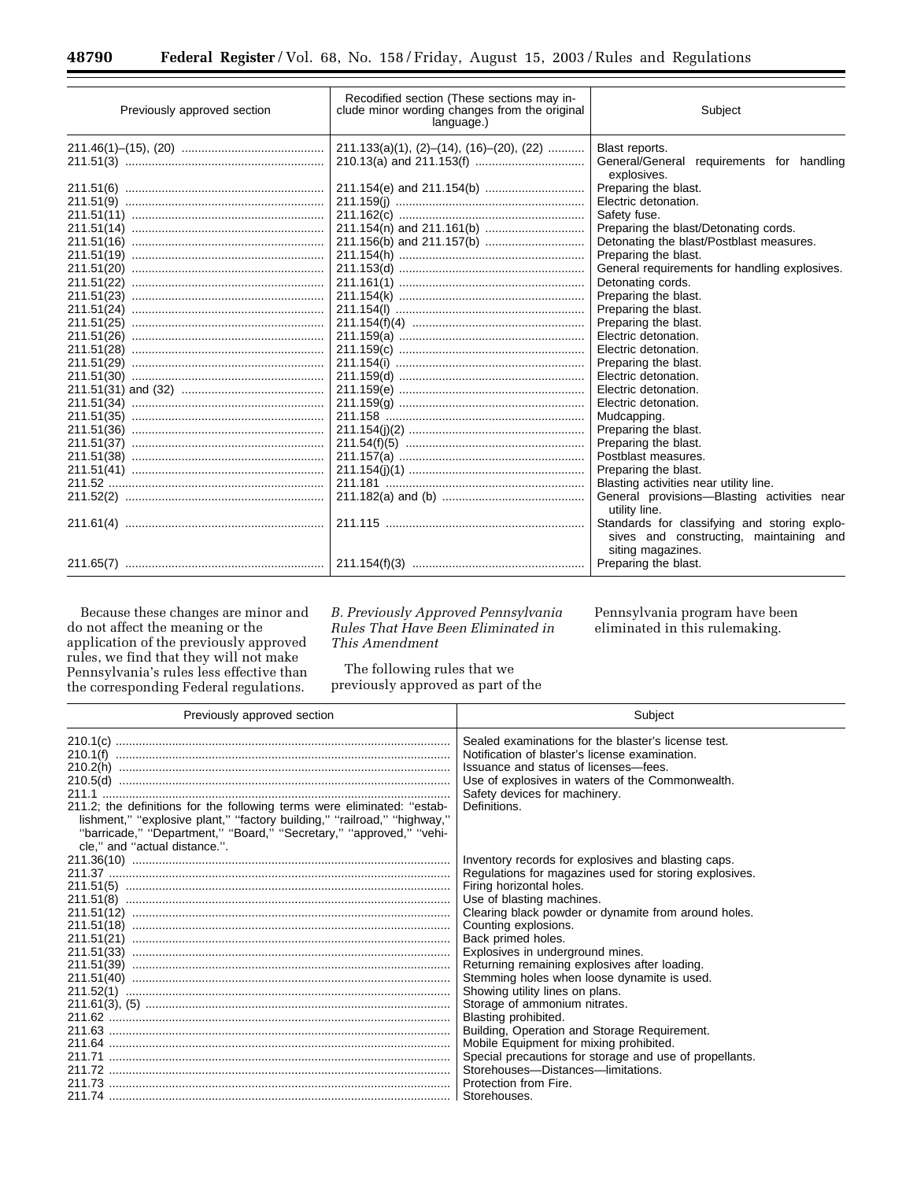| Previously approved section | Recodified section (These sections may in-<br>clude minor wording changes from the original<br>language.) | Subject                                                                                                                                                                                                                                                                                                                                                                                                                              |  |  |
|-----------------------------|-----------------------------------------------------------------------------------------------------------|--------------------------------------------------------------------------------------------------------------------------------------------------------------------------------------------------------------------------------------------------------------------------------------------------------------------------------------------------------------------------------------------------------------------------------------|--|--|
|                             | $211.133(a)(1), (2)–(14), (16)–(20), (22)$                                                                | Blast reports.<br>General/General requirements for handling<br>explosives.                                                                                                                                                                                                                                                                                                                                                           |  |  |
|                             |                                                                                                           | Preparing the blast.<br>Electric detonation.<br>Safety fuse.<br>Preparing the blast/Detonating cords.<br>Detonating the blast/Postblast measures.<br>Preparing the blast.<br>General requirements for handling explosives.<br>Detonating cords.<br>Preparing the blast.<br>Preparing the blast.<br>Preparing the blast.<br>Electric detonation.<br>Electric detonation.<br>Preparing the blast.                                      |  |  |
|                             |                                                                                                           | Electric detonation.<br>Electric detonation.<br>Electric detonation.<br>Mudcapping.<br>Preparing the blast.<br>Preparing the blast.<br>Postblast measures.<br>Preparing the blast.<br>Blasting activities near utility line.<br>General provisions-Blasting activities near<br>utility line.<br>Standards for classifying and storing explo-<br>sives and constructing, maintaining and<br>siting magazines.<br>Preparing the blast. |  |  |

Because these changes are minor and do not affect the meaning or the application of the previously approved rules, we find that they will not make Pennsylvania's rules less effective than the corresponding Federal regulations.

*B. Previously Approved Pennsylvania Rules That Have Been Eliminated in This Amendment* 

The following rules that we previously approved as part of the Pennsylvania program have been eliminated in this rulemaking.

| Previously approved section                                                                                                                                                                                                                                 | Subject                                                                                                                                                                                                                                                                                                                                                                                                                                                                                                                                                                                                                                                                                                  |  |  |  |
|-------------------------------------------------------------------------------------------------------------------------------------------------------------------------------------------------------------------------------------------------------------|----------------------------------------------------------------------------------------------------------------------------------------------------------------------------------------------------------------------------------------------------------------------------------------------------------------------------------------------------------------------------------------------------------------------------------------------------------------------------------------------------------------------------------------------------------------------------------------------------------------------------------------------------------------------------------------------------------|--|--|--|
| 211.2; the definitions for the following terms were eliminated: "estab-<br>lishment," "explosive plant," "factory building," "railroad," "highway,"<br>"barricade," "Department," "Board," "Secretary," "approved," "vehi-<br>cle," and "actual distance.". | Sealed examinations for the blaster's license test.<br>Notification of blaster's license examination.<br>Issuance and status of licenses-fees.<br>Use of explosives in waters of the Commonwealth.<br>Safety devices for machinery.<br>Definitions.                                                                                                                                                                                                                                                                                                                                                                                                                                                      |  |  |  |
|                                                                                                                                                                                                                                                             | Inventory records for explosives and blasting caps.<br>Regulations for magazines used for storing explosives.<br>Firing horizontal holes.<br>Use of blasting machines.<br>Clearing black powder or dynamite from around holes.<br>Counting explosions.<br>Back primed holes.<br>Explosives in underground mines.<br>Returning remaining explosives after loading.<br>Stemming holes when loose dynamite is used.<br>Showing utility lines on plans.<br>Storage of ammonium nitrates.<br>Blasting prohibited.<br>Building, Operation and Storage Requirement.<br>Mobile Equipment for mixing prohibited.<br>Special precautions for storage and use of propellants.<br>Storehouses-Distances-limitations. |  |  |  |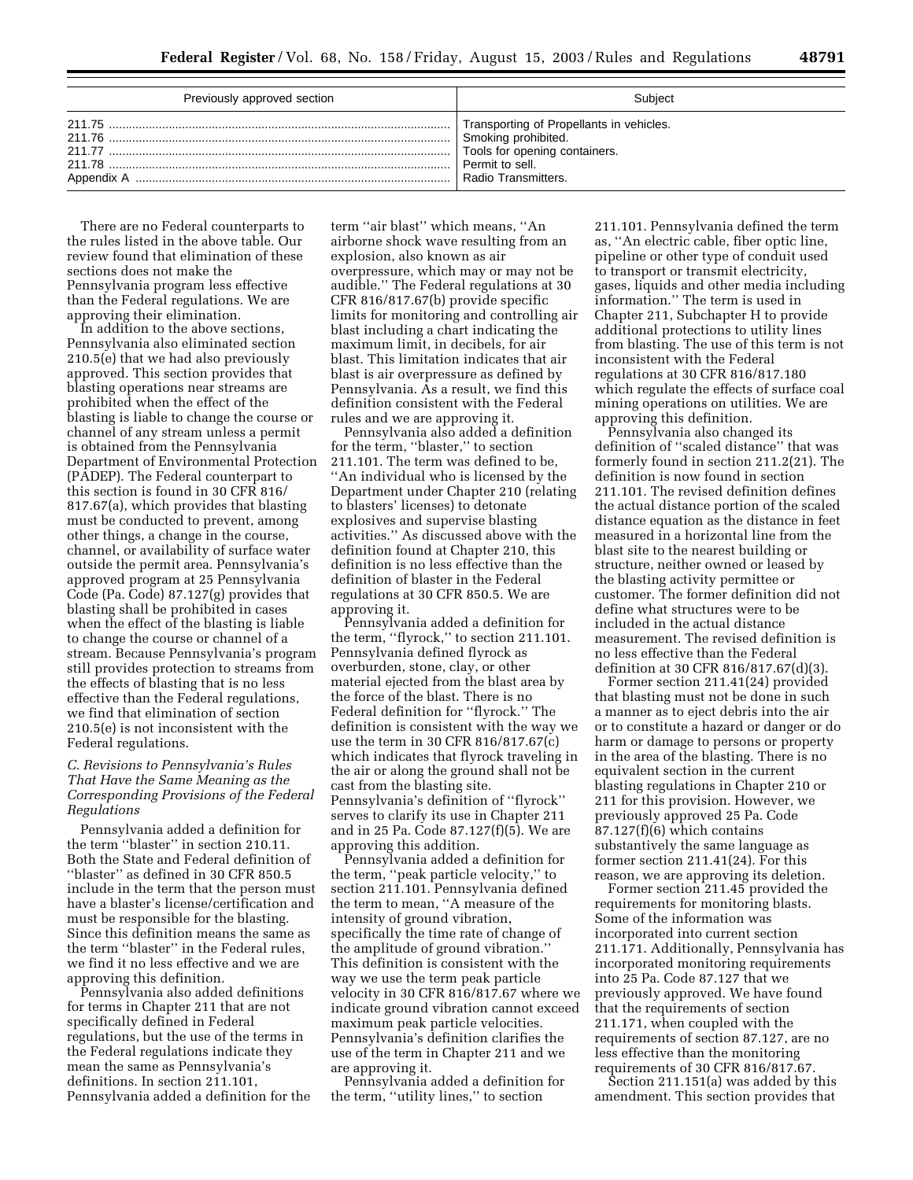| Previously approved section | Subiect                                  |
|-----------------------------|------------------------------------------|
|                             | Transporting of Propellants in vehicles. |
|                             | Smoking prohibited.                      |
|                             | Tools for opening containers.            |
|                             | Permit to sell.                          |
|                             | Radio Transmitters.                      |

There are no Federal counterparts to the rules listed in the above table. Our review found that elimination of these sections does not make the Pennsylvania program less effective than the Federal regulations. We are approving their elimination.

In addition to the above sections, Pennsylvania also eliminated section 210.5(e) that we had also previously approved. This section provides that blasting operations near streams are prohibited when the effect of the blasting is liable to change the course or channel of any stream unless a permit is obtained from the Pennsylvania Department of Environmental Protection (PADEP). The Federal counterpart to this section is found in 30 CFR 816/ 817.67(a), which provides that blasting must be conducted to prevent, among other things, a change in the course, channel, or availability of surface water outside the permit area. Pennsylvania's approved program at 25 Pennsylvania Code (Pa. Code) 87.127(g) provides that blasting shall be prohibited in cases when the effect of the blasting is liable to change the course or channel of a stream. Because Pennsylvania's program still provides protection to streams from the effects of blasting that is no less effective than the Federal regulations, we find that elimination of section 210.5(e) is not inconsistent with the Federal regulations.

# *C. Revisions to Pennsylvania's Rules That Have the Same Meaning as the Corresponding Provisions of the Federal Regulations*

Pennsylvania added a definition for the term ''blaster'' in section 210.11. Both the State and Federal definition of ''blaster'' as defined in 30 CFR 850.5 include in the term that the person must have a blaster's license/certification and must be responsible for the blasting. Since this definition means the same as the term ''blaster'' in the Federal rules, we find it no less effective and we are approving this definition.

Pennsylvania also added definitions for terms in Chapter 211 that are not specifically defined in Federal regulations, but the use of the terms in the Federal regulations indicate they mean the same as Pennsylvania's definitions. In section 211.101, Pennsylvania added a definition for the

term ''air blast'' which means, ''An airborne shock wave resulting from an explosion, also known as air overpressure, which may or may not be audible.'' The Federal regulations at 30 CFR 816/817.67(b) provide specific limits for monitoring and controlling air blast including a chart indicating the maximum limit, in decibels, for air blast. This limitation indicates that air blast is air overpressure as defined by Pennsylvania. As a result, we find this definition consistent with the Federal rules and we are approving it.

Pennsylvania also added a definition for the term, ''blaster,'' to section 211.101. The term was defined to be, ''An individual who is licensed by the Department under Chapter 210 (relating to blasters' licenses) to detonate explosives and supervise blasting activities.'' As discussed above with the definition found at Chapter 210, this definition is no less effective than the definition of blaster in the Federal regulations at 30 CFR 850.5. We are approving it.

Pennsylvania added a definition for the term, ''flyrock,'' to section 211.101. Pennsylvania defined flyrock as overburden, stone, clay, or other material ejected from the blast area by the force of the blast. There is no Federal definition for ''flyrock.'' The definition is consistent with the way we use the term in 30 CFR 816/817.67(c) which indicates that flyrock traveling in the air or along the ground shall not be cast from the blasting site. Pennsylvania's definition of ''flyrock'' serves to clarify its use in Chapter 211 and in 25 Pa. Code 87.127(f)(5). We are approving this addition.

Pennsylvania added a definition for the term, ''peak particle velocity,'' to section 211.101. Pennsylvania defined the term to mean, ''A measure of the intensity of ground vibration, specifically the time rate of change of the amplitude of ground vibration.'' This definition is consistent with the way we use the term peak particle velocity in 30 CFR 816/817.67 where we indicate ground vibration cannot exceed maximum peak particle velocities. Pennsylvania's definition clarifies the use of the term in Chapter 211 and we are approving it.

Pennsylvania added a definition for the term, ''utility lines,'' to section

211.101. Pennsylvania defined the term as, ''An electric cable, fiber optic line, pipeline or other type of conduit used to transport or transmit electricity, gases, liquids and other media including information.'' The term is used in Chapter 211, Subchapter H to provide additional protections to utility lines from blasting. The use of this term is not inconsistent with the Federal regulations at 30 CFR 816/817.180 which regulate the effects of surface coal mining operations on utilities. We are approving this definition.

Pennsylvania also changed its definition of ''scaled distance'' that was formerly found in section 211.2(21). The definition is now found in section 211.101. The revised definition defines the actual distance portion of the scaled distance equation as the distance in feet measured in a horizontal line from the blast site to the nearest building or structure, neither owned or leased by the blasting activity permittee or customer. The former definition did not define what structures were to be included in the actual distance measurement. The revised definition is no less effective than the Federal definition at 30 CFR 816/817.67(d)(3).

Former section 211.41(24) provided that blasting must not be done in such a manner as to eject debris into the air or to constitute a hazard or danger or do harm or damage to persons or property in the area of the blasting. There is no equivalent section in the current blasting regulations in Chapter 210 or 211 for this provision. However, we previously approved 25 Pa. Code 87.127(f)(6) which contains substantively the same language as former section 211.41(24). For this reason, we are approving its deletion.

Former section 211.45 provided the requirements for monitoring blasts. Some of the information was incorporated into current section 211.171. Additionally, Pennsylvania has incorporated monitoring requirements into 25 Pa. Code 87.127 that we previously approved. We have found that the requirements of section 211.171, when coupled with the requirements of section 87.127, are no less effective than the monitoring requirements of 30 CFR 816/817.67.

Section 211.151(a) was added by this amendment. This section provides that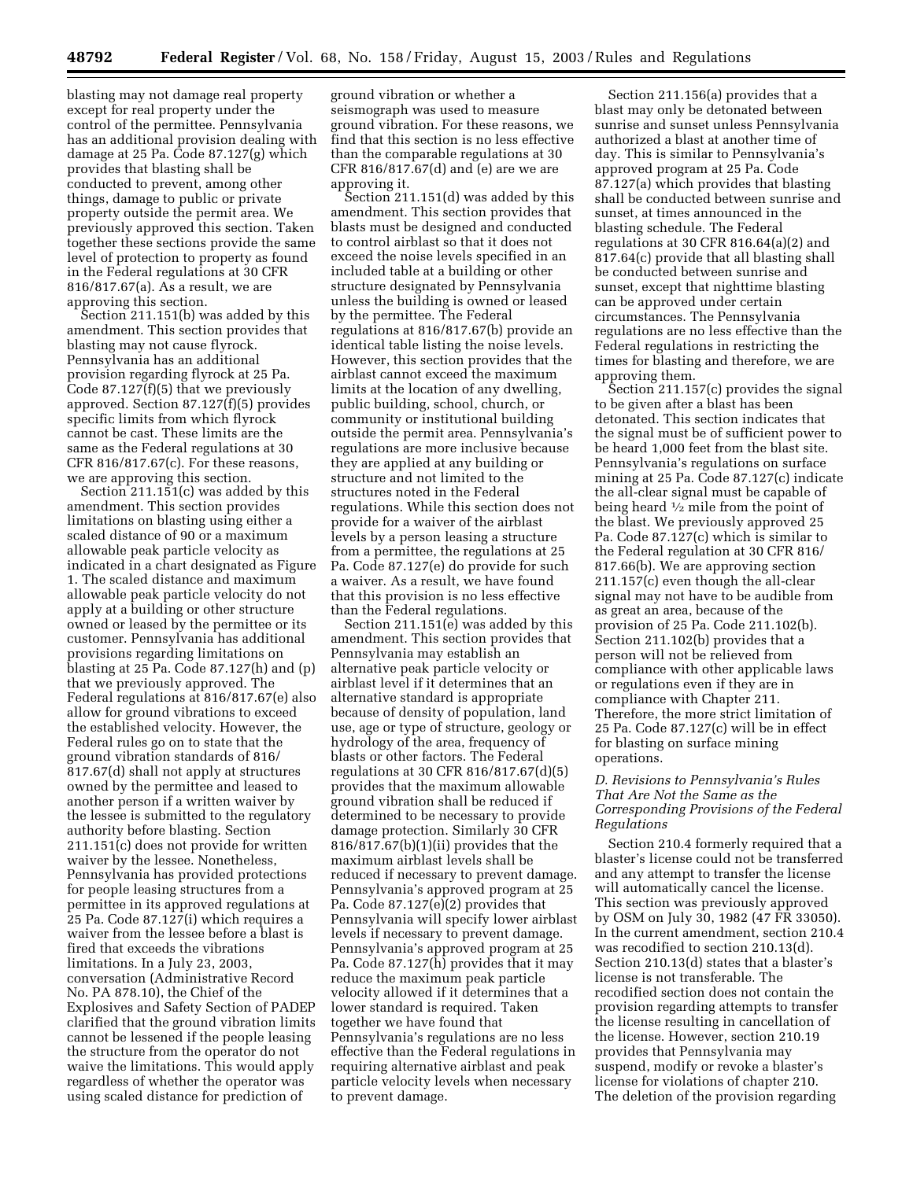blasting may not damage real property except for real property under the control of the permittee. Pennsylvania has an additional provision dealing with damage at 25 Pa. Code 87.127(g) which provides that blasting shall be conducted to prevent, among other things, damage to public or private property outside the permit area. We previously approved this section. Taken together these sections provide the same level of protection to property as found in the Federal regulations at 30 CFR 816/817.67(a). As a result, we are approving this section.

Section 211.151(b) was added by this amendment. This section provides that blasting may not cause flyrock. Pennsylvania has an additional provision regarding flyrock at 25 Pa. Code 87.127(f)(5) that we previously approved. Section 87.127(f)(5) provides specific limits from which flyrock cannot be cast. These limits are the same as the Federal regulations at 30 CFR 816/817.67(c). For these reasons, we are approving this section.

Section 211.151(c) was added by this amendment. This section provides limitations on blasting using either a scaled distance of 90 or a maximum allowable peak particle velocity as indicated in a chart designated as Figure 1. The scaled distance and maximum allowable peak particle velocity do not apply at a building or other structure owned or leased by the permittee or its customer. Pennsylvania has additional provisions regarding limitations on blasting at 25 Pa. Code 87.127(h) and (p) that we previously approved. The Federal regulations at 816/817.67(e) also allow for ground vibrations to exceed the established velocity. However, the Federal rules go on to state that the ground vibration standards of 816/ 817.67(d) shall not apply at structures owned by the permittee and leased to another person if a written waiver by the lessee is submitted to the regulatory authority before blasting. Section 211.151(c) does not provide for written waiver by the lessee. Nonetheless, Pennsylvania has provided protections for people leasing structures from a permittee in its approved regulations at 25 Pa. Code 87.127(i) which requires a waiver from the lessee before a blast is fired that exceeds the vibrations limitations. In a July 23, 2003, conversation (Administrative Record No. PA 878.10), the Chief of the Explosives and Safety Section of PADEP clarified that the ground vibration limits cannot be lessened if the people leasing the structure from the operator do not waive the limitations. This would apply regardless of whether the operator was using scaled distance for prediction of

ground vibration or whether a seismograph was used to measure ground vibration. For these reasons, we find that this section is no less effective than the comparable regulations at 30 CFR 816/817.67(d) and (e) are we are approving it.

Section 211.151(d) was added by this amendment. This section provides that blasts must be designed and conducted to control airblast so that it does not exceed the noise levels specified in an included table at a building or other structure designated by Pennsylvania unless the building is owned or leased by the permittee. The Federal regulations at 816/817.67(b) provide an identical table listing the noise levels. However, this section provides that the airblast cannot exceed the maximum limits at the location of any dwelling, public building, school, church, or community or institutional building outside the permit area. Pennsylvania's regulations are more inclusive because they are applied at any building or structure and not limited to the structures noted in the Federal regulations. While this section does not provide for a waiver of the airblast levels by a person leasing a structure from a permittee, the regulations at 25 Pa. Code 87.127(e) do provide for such a waiver. As a result, we have found that this provision is no less effective than the Federal regulations.

Section 211.151(e) was added by this amendment. This section provides that Pennsylvania may establish an alternative peak particle velocity or airblast level if it determines that an alternative standard is appropriate because of density of population, land use, age or type of structure, geology or hydrology of the area, frequency of blasts or other factors. The Federal regulations at 30 CFR 816/817.67(d)(5) provides that the maximum allowable ground vibration shall be reduced if determined to be necessary to provide damage protection. Similarly 30 CFR 816/817.67(b)(1)(ii) provides that the maximum airblast levels shall be reduced if necessary to prevent damage. Pennsylvania's approved program at 25 Pa. Code  $87.127(e)(2)$  provides that Pennsylvania will specify lower airblast levels if necessary to prevent damage. Pennsylvania's approved program at 25 Pa. Code 87.127(h) provides that it may reduce the maximum peak particle velocity allowed if it determines that a lower standard is required. Taken together we have found that Pennsylvania's regulations are no less effective than the Federal regulations in requiring alternative airblast and peak particle velocity levels when necessary to prevent damage.

Section 211.156(a) provides that a blast may only be detonated between sunrise and sunset unless Pennsylvania authorized a blast at another time of day. This is similar to Pennsylvania's approved program at 25 Pa. Code 87.127(a) which provides that blasting shall be conducted between sunrise and sunset, at times announced in the blasting schedule. The Federal regulations at 30 CFR 816.64(a)(2) and 817.64(c) provide that all blasting shall be conducted between sunrise and sunset, except that nighttime blasting can be approved under certain circumstances. The Pennsylvania regulations are no less effective than the Federal regulations in restricting the times for blasting and therefore, we are approving them.

Section 211.157(c) provides the signal to be given after a blast has been detonated. This section indicates that the signal must be of sufficient power to be heard 1,000 feet from the blast site. Pennsylvania's regulations on surface mining at 25 Pa. Code 87.127(c) indicate the all-clear signal must be capable of being heard 1⁄2 mile from the point of the blast. We previously approved 25 Pa. Code 87.127(c) which is similar to the Federal regulation at 30 CFR 816/ 817.66(b). We are approving section 211.157(c) even though the all-clear signal may not have to be audible from as great an area, because of the provision of 25 Pa. Code 211.102(b). Section 211.102(b) provides that a person will not be relieved from compliance with other applicable laws or regulations even if they are in compliance with Chapter 211. Therefore, the more strict limitation of 25 Pa. Code 87.127(c) will be in effect for blasting on surface mining operations.

# *D. Revisions to Pennsylvania's Rules That Are Not the Same as the Corresponding Provisions of the Federal Regulations*

Section 210.4 formerly required that a blaster's license could not be transferred and any attempt to transfer the license will automatically cancel the license. This section was previously approved by OSM on July 30, 1982 (47 FR 33050). In the current amendment, section 210.4 was recodified to section 210.13(d). Section 210.13(d) states that a blaster's license is not transferable. The recodified section does not contain the provision regarding attempts to transfer the license resulting in cancellation of the license. However, section 210.19 provides that Pennsylvania may suspend, modify or revoke a blaster's license for violations of chapter 210. The deletion of the provision regarding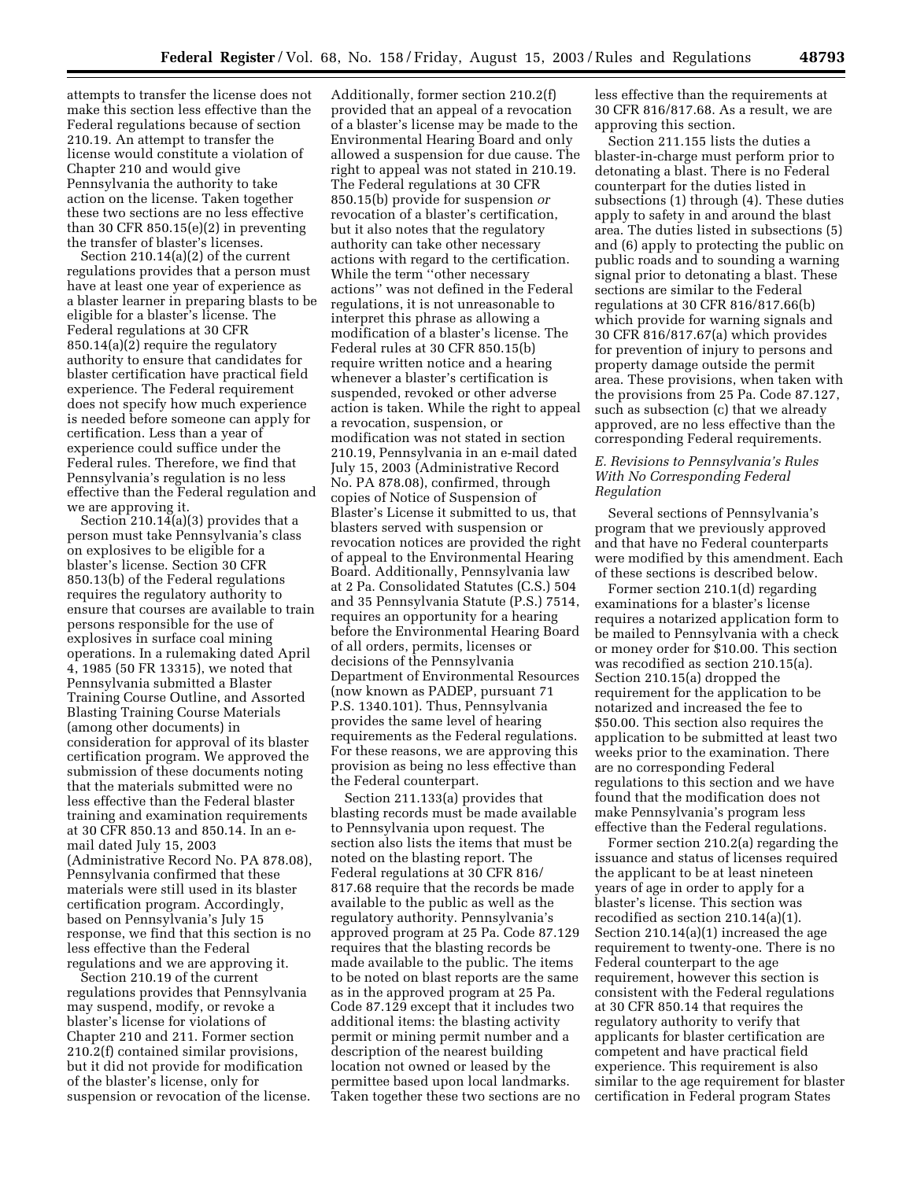attempts to transfer the license does not make this section less effective than the Federal regulations because of section 210.19. An attempt to transfer the license would constitute a violation of Chapter 210 and would give Pennsylvania the authority to take action on the license. Taken together these two sections are no less effective than 30 CFR 850.15 $(e)(2)$  in preventing the transfer of blaster's licenses.

Section 210.14(a)(2) of the current regulations provides that a person must have at least one year of experience as a blaster learner in preparing blasts to be eligible for a blaster's license. The Federal regulations at 30 CFR 850.14(a)(2) require the regulatory authority to ensure that candidates for blaster certification have practical field experience. The Federal requirement does not specify how much experience is needed before someone can apply for certification. Less than a year of experience could suffice under the Federal rules. Therefore, we find that Pennsylvania's regulation is no less effective than the Federal regulation and we are approving it.

Section 210.14(a)(3) provides that a person must take Pennsylvania's class on explosives to be eligible for a blaster's license. Section 30 CFR 850.13(b) of the Federal regulations requires the regulatory authority to ensure that courses are available to train persons responsible for the use of explosives in surface coal mining operations. In a rulemaking dated April 4, 1985 (50 FR 13315), we noted that Pennsylvania submitted a Blaster Training Course Outline, and Assorted Blasting Training Course Materials (among other documents) in consideration for approval of its blaster certification program. We approved the submission of these documents noting that the materials submitted were no less effective than the Federal blaster training and examination requirements at 30 CFR 850.13 and 850.14. In an email dated July 15, 2003 (Administrative Record No. PA 878.08), Pennsylvania confirmed that these materials were still used in its blaster certification program. Accordingly, based on Pennsylvania's July 15 response, we find that this section is no less effective than the Federal regulations and we are approving it.

Section 210.19 of the current regulations provides that Pennsylvania may suspend, modify, or revoke a blaster's license for violations of Chapter 210 and 211. Former section 210.2(f) contained similar provisions, but it did not provide for modification of the blaster's license, only for suspension or revocation of the license.

Additionally, former section 210.2(f) provided that an appeal of a revocation of a blaster's license may be made to the Environmental Hearing Board and only allowed a suspension for due cause. The right to appeal was not stated in 210.19. The Federal regulations at 30 CFR 850.15(b) provide for suspension *or* revocation of a blaster's certification, but it also notes that the regulatory authority can take other necessary actions with regard to the certification. While the term ''other necessary actions'' was not defined in the Federal regulations, it is not unreasonable to interpret this phrase as allowing a modification of a blaster's license. The Federal rules at 30 CFR 850.15(b) require written notice and a hearing whenever a blaster's certification is suspended, revoked or other adverse action is taken. While the right to appeal a revocation, suspension, or modification was not stated in section 210.19, Pennsylvania in an e-mail dated July 15, 2003 (Administrative Record No. PA 878.08), confirmed, through copies of Notice of Suspension of Blaster's License it submitted to us, that blasters served with suspension or revocation notices are provided the right of appeal to the Environmental Hearing Board. Additionally, Pennsylvania law at 2 Pa. Consolidated Statutes (C.S.) 504 and 35 Pennsylvania Statute (P.S.) 7514, requires an opportunity for a hearing before the Environmental Hearing Board of all orders, permits, licenses or decisions of the Pennsylvania Department of Environmental Resources (now known as PADEP, pursuant 71 P.S. 1340.101). Thus, Pennsylvania provides the same level of hearing requirements as the Federal regulations. For these reasons, we are approving this provision as being no less effective than the Federal counterpart.

Section 211.133(a) provides that blasting records must be made available to Pennsylvania upon request. The section also lists the items that must be noted on the blasting report. The Federal regulations at 30 CFR 816/ 817.68 require that the records be made available to the public as well as the regulatory authority. Pennsylvania's approved program at 25 Pa. Code 87.129 requires that the blasting records be made available to the public. The items to be noted on blast reports are the same as in the approved program at 25 Pa. Code 87.129 except that it includes two additional items: the blasting activity permit or mining permit number and a description of the nearest building location not owned or leased by the permittee based upon local landmarks. Taken together these two sections are no less effective than the requirements at 30 CFR 816/817.68. As a result, we are approving this section.

Section 211.155 lists the duties a blaster-in-charge must perform prior to detonating a blast. There is no Federal counterpart for the duties listed in subsections (1) through (4). These duties apply to safety in and around the blast area. The duties listed in subsections (5) and (6) apply to protecting the public on public roads and to sounding a warning signal prior to detonating a blast. These sections are similar to the Federal regulations at 30 CFR 816/817.66(b) which provide for warning signals and 30 CFR 816/817.67(a) which provides for prevention of injury to persons and property damage outside the permit area. These provisions, when taken with the provisions from 25 Pa. Code 87.127, such as subsection (c) that we already approved, are no less effective than the corresponding Federal requirements.

## *E. Revisions to Pennsylvania's Rules With No Corresponding Federal Regulation*

Several sections of Pennsylvania's program that we previously approved and that have no Federal counterparts were modified by this amendment. Each of these sections is described below.

Former section 210.1(d) regarding examinations for a blaster's license requires a notarized application form to be mailed to Pennsylvania with a check or money order for \$10.00. This section was recodified as section 210.15(a). Section 210.15(a) dropped the requirement for the application to be notarized and increased the fee to \$50.00. This section also requires the application to be submitted at least two weeks prior to the examination. There are no corresponding Federal regulations to this section and we have found that the modification does not make Pennsylvania's program less effective than the Federal regulations.

Former section 210.2(a) regarding the issuance and status of licenses required the applicant to be at least nineteen years of age in order to apply for a blaster's license. This section was recodified as section 210.14(a)(1). Section 210.14(a)(1) increased the age requirement to twenty-one. There is no Federal counterpart to the age requirement, however this section is consistent with the Federal regulations at 30 CFR 850.14 that requires the regulatory authority to verify that applicants for blaster certification are competent and have practical field experience. This requirement is also similar to the age requirement for blaster certification in Federal program States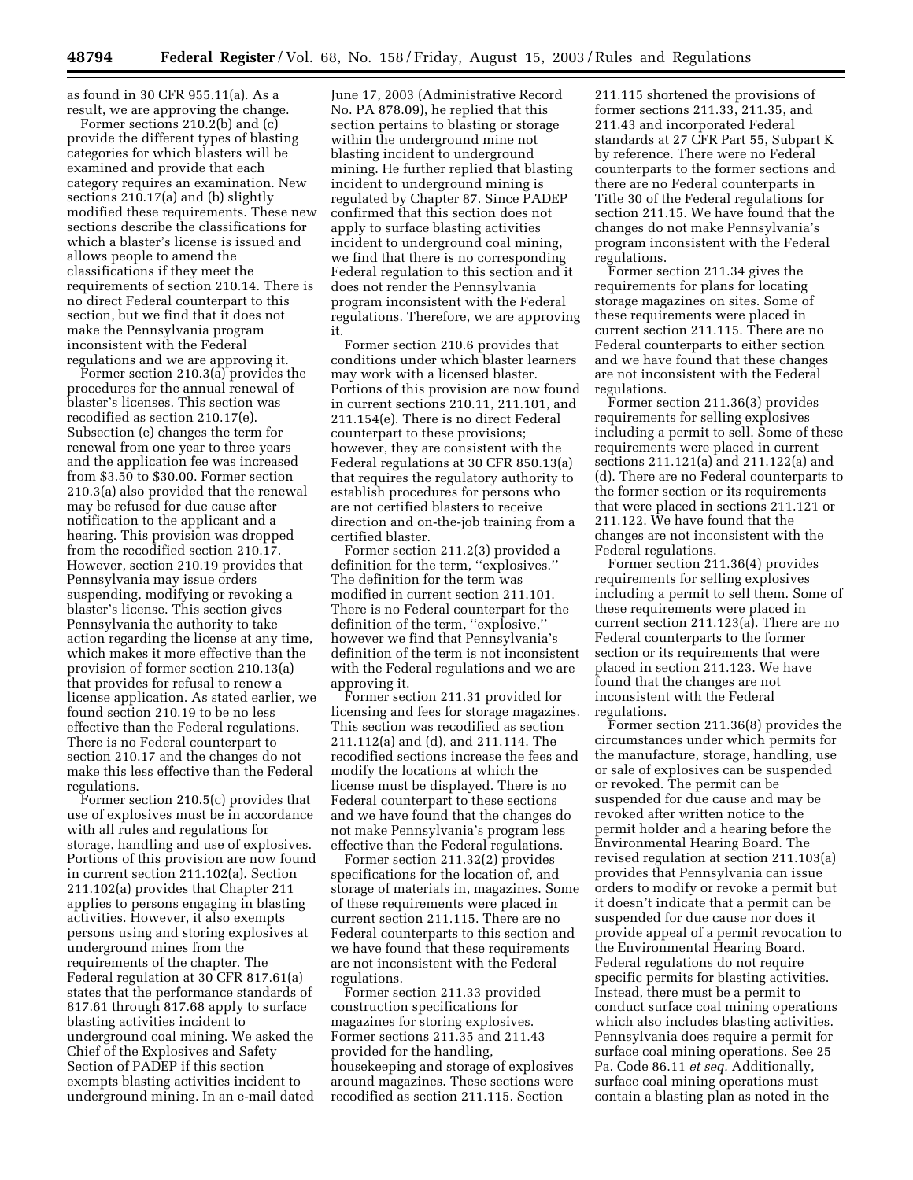as found in 30 CFR 955.11(a). As a result, we are approving the change.

Former sections 210.2(b) and (c) provide the different types of blasting categories for which blasters will be examined and provide that each category requires an examination. New sections 210.17(a) and (b) slightly modified these requirements. These new sections describe the classifications for which a blaster's license is issued and allows people to amend the classifications if they meet the requirements of section 210.14. There is no direct Federal counterpart to this section, but we find that it does not make the Pennsylvania program inconsistent with the Federal regulations and we are approving it.

Former section 210.3(a) provides the procedures for the annual renewal of blaster's licenses. This section was recodified as section 210.17(e). Subsection (e) changes the term for renewal from one year to three years and the application fee was increased from \$3.50 to \$30.00. Former section 210.3(a) also provided that the renewal may be refused for due cause after notification to the applicant and a hearing. This provision was dropped from the recodified section 210.17. However, section 210.19 provides that Pennsylvania may issue orders suspending, modifying or revoking a blaster's license. This section gives Pennsylvania the authority to take action regarding the license at any time, which makes it more effective than the provision of former section 210.13(a) that provides for refusal to renew a license application. As stated earlier, we found section 210.19 to be no less effective than the Federal regulations. There is no Federal counterpart to section 210.17 and the changes do not make this less effective than the Federal regulations.

Former section 210.5(c) provides that use of explosives must be in accordance with all rules and regulations for storage, handling and use of explosives. Portions of this provision are now found in current section 211.102(a). Section 211.102(a) provides that Chapter 211 applies to persons engaging in blasting activities. However, it also exempts persons using and storing explosives at underground mines from the requirements of the chapter. The Federal regulation at 30 CFR 817.61(a) states that the performance standards of 817.61 through 817.68 apply to surface blasting activities incident to underground coal mining. We asked the Chief of the Explosives and Safety Section of PADEP if this section exempts blasting activities incident to underground mining. In an e-mail dated

June 17, 2003 (Administrative Record No. PA 878.09), he replied that this section pertains to blasting or storage within the underground mine not blasting incident to underground mining. He further replied that blasting incident to underground mining is regulated by Chapter 87. Since PADEP confirmed that this section does not apply to surface blasting activities incident to underground coal mining, we find that there is no corresponding Federal regulation to this section and it does not render the Pennsylvania program inconsistent with the Federal regulations. Therefore, we are approving it.

Former section 210.6 provides that conditions under which blaster learners may work with a licensed blaster. Portions of this provision are now found in current sections 210.11, 211.101, and 211.154(e). There is no direct Federal counterpart to these provisions; however, they are consistent with the Federal regulations at 30 CFR 850.13(a) that requires the regulatory authority to establish procedures for persons who are not certified blasters to receive direction and on-the-job training from a certified blaster.

Former section 211.2(3) provided a definition for the term, ''explosives.'' The definition for the term was modified in current section 211.101. There is no Federal counterpart for the definition of the term, ''explosive,'' however we find that Pennsylvania's definition of the term is not inconsistent with the Federal regulations and we are approving it.

Former section 211.31 provided for licensing and fees for storage magazines. This section was recodified as section 211.112(a) and (d), and 211.114. The recodified sections increase the fees and modify the locations at which the license must be displayed. There is no Federal counterpart to these sections and we have found that the changes do not make Pennsylvania's program less effective than the Federal regulations.

Former section 211.32(2) provides specifications for the location of, and storage of materials in, magazines. Some of these requirements were placed in current section 211.115. There are no Federal counterparts to this section and we have found that these requirements are not inconsistent with the Federal regulations.

Former section 211.33 provided construction specifications for magazines for storing explosives. Former sections 211.35 and 211.43 provided for the handling, housekeeping and storage of explosives around magazines. These sections were recodified as section 211.115. Section

211.115 shortened the provisions of former sections 211.33, 211.35, and 211.43 and incorporated Federal standards at 27 CFR Part 55, Subpart K by reference. There were no Federal counterparts to the former sections and there are no Federal counterparts in Title 30 of the Federal regulations for section 211.15. We have found that the changes do not make Pennsylvania's program inconsistent with the Federal regulations.

Former section 211.34 gives the requirements for plans for locating storage magazines on sites. Some of these requirements were placed in current section 211.115. There are no Federal counterparts to either section and we have found that these changes are not inconsistent with the Federal regulations.

Former section 211.36(3) provides requirements for selling explosives including a permit to sell. Some of these requirements were placed in current sections 211.121(a) and 211.122(a) and (d). There are no Federal counterparts to the former section or its requirements that were placed in sections 211.121 or 211.122. We have found that the changes are not inconsistent with the Federal regulations.

Former section 211.36(4) provides requirements for selling explosives including a permit to sell them. Some of these requirements were placed in current section 211.123(a). There are no Federal counterparts to the former section or its requirements that were placed in section 211.123. We have found that the changes are not inconsistent with the Federal regulations.

Former section 211.36(8) provides the circumstances under which permits for the manufacture, storage, handling, use or sale of explosives can be suspended or revoked. The permit can be suspended for due cause and may be revoked after written notice to the permit holder and a hearing before the Environmental Hearing Board. The revised regulation at section 211.103(a) provides that Pennsylvania can issue orders to modify or revoke a permit but it doesn't indicate that a permit can be suspended for due cause nor does it provide appeal of a permit revocation to the Environmental Hearing Board. Federal regulations do not require specific permits for blasting activities. Instead, there must be a permit to conduct surface coal mining operations which also includes blasting activities. Pennsylvania does require a permit for surface coal mining operations. See 25 Pa. Code 86.11 *et seq.* Additionally, surface coal mining operations must contain a blasting plan as noted in the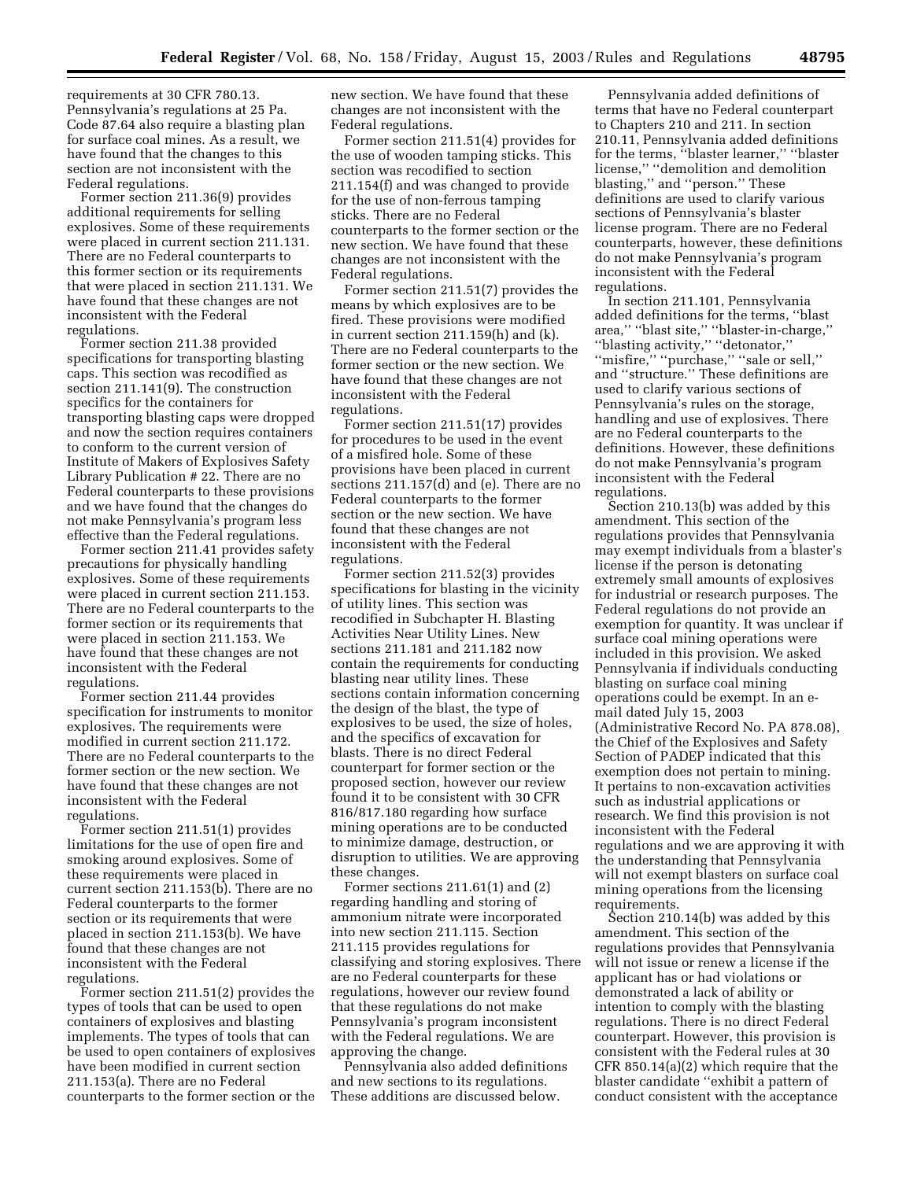requirements at 30 CFR 780.13. Pennsylvania's regulations at 25 Pa. Code 87.64 also require a blasting plan for surface coal mines. As a result, we have found that the changes to this section are not inconsistent with the Federal regulations.

Former section 211.36(9) provides additional requirements for selling explosives. Some of these requirements were placed in current section 211.131. There are no Federal counterparts to this former section or its requirements that were placed in section 211.131. We have found that these changes are not inconsistent with the Federal regulations.

Former section 211.38 provided specifications for transporting blasting caps. This section was recodified as section 211.141(9). The construction specifics for the containers for transporting blasting caps were dropped and now the section requires containers to conform to the current version of Institute of Makers of Explosives Safety Library Publication # 22. There are no Federal counterparts to these provisions and we have found that the changes do not make Pennsylvania's program less effective than the Federal regulations.

Former section 211.41 provides safety precautions for physically handling explosives. Some of these requirements were placed in current section 211.153. There are no Federal counterparts to the former section or its requirements that were placed in section 211.153. We have found that these changes are not inconsistent with the Federal regulations.

Former section 211.44 provides specification for instruments to monitor explosives. The requirements were modified in current section 211.172. There are no Federal counterparts to the former section or the new section. We have found that these changes are not inconsistent with the Federal regulations.

Former section 211.51(1) provides limitations for the use of open fire and smoking around explosives. Some of these requirements were placed in current section 211.153(b). There are no Federal counterparts to the former section or its requirements that were placed in section 211.153(b). We have found that these changes are not inconsistent with the Federal regulations.

Former section 211.51(2) provides the types of tools that can be used to open containers of explosives and blasting implements. The types of tools that can be used to open containers of explosives have been modified in current section 211.153(a). There are no Federal counterparts to the former section or the new section. We have found that these changes are not inconsistent with the Federal regulations.

Former section 211.51(4) provides for the use of wooden tamping sticks. This section was recodified to section 211.154(f) and was changed to provide for the use of non-ferrous tamping sticks. There are no Federal counterparts to the former section or the new section. We have found that these changes are not inconsistent with the Federal regulations.

Former section 211.51(7) provides the means by which explosives are to be fired. These provisions were modified in current section 211.159(h) and (k). There are no Federal counterparts to the former section or the new section. We have found that these changes are not inconsistent with the Federal regulations.

Former section 211.51(17) provides for procedures to be used in the event of a misfired hole. Some of these provisions have been placed in current sections 211.157(d) and (e). There are no Federal counterparts to the former section or the new section. We have found that these changes are not inconsistent with the Federal regulations.

Former section 211.52(3) provides specifications for blasting in the vicinity of utility lines. This section was recodified in Subchapter H. Blasting Activities Near Utility Lines. New sections 211.181 and 211.182 now contain the requirements for conducting blasting near utility lines. These sections contain information concerning the design of the blast, the type of explosives to be used, the size of holes, and the specifics of excavation for blasts. There is no direct Federal counterpart for former section or the proposed section, however our review found it to be consistent with 30 CFR 816/817.180 regarding how surface mining operations are to be conducted to minimize damage, destruction, or disruption to utilities. We are approving these changes.

Former sections 211.61(1) and (2) regarding handling and storing of ammonium nitrate were incorporated into new section 211.115. Section 211.115 provides regulations for classifying and storing explosives. There are no Federal counterparts for these regulations, however our review found that these regulations do not make Pennsylvania's program inconsistent with the Federal regulations. We are approving the change.

Pennsylvania also added definitions and new sections to its regulations. These additions are discussed below.

Pennsylvania added definitions of terms that have no Federal counterpart to Chapters 210 and 211. In section 210.11, Pennsylvania added definitions for the terms, ''blaster learner,'' ''blaster license,'' ''demolition and demolition blasting,'' and ''person.'' These definitions are used to clarify various sections of Pennsylvania's blaster license program. There are no Federal counterparts, however, these definitions do not make Pennsylvania's program inconsistent with the Federal regulations.

In section 211.101, Pennsylvania added definitions for the terms, ''blast area,'' ''blast site,'' ''blaster-in-charge,'' ''blasting activity,'' ''detonator,'' ''misfire,'' ''purchase,'' ''sale or sell,'' and ''structure.'' These definitions are used to clarify various sections of Pennsylvania's rules on the storage, handling and use of explosives. There are no Federal counterparts to the definitions. However, these definitions do not make Pennsylvania's program inconsistent with the Federal regulations.

Section 210.13(b) was added by this amendment. This section of the regulations provides that Pennsylvania may exempt individuals from a blaster's license if the person is detonating extremely small amounts of explosives for industrial or research purposes. The Federal regulations do not provide an exemption for quantity. It was unclear if surface coal mining operations were included in this provision. We asked Pennsylvania if individuals conducting blasting on surface coal mining operations could be exempt. In an email dated July 15, 2003 (Administrative Record No. PA 878.08), the Chief of the Explosives and Safety Section of PADEP indicated that this exemption does not pertain to mining. It pertains to non-excavation activities such as industrial applications or research. We find this provision is not inconsistent with the Federal regulations and we are approving it with the understanding that Pennsylvania will not exempt blasters on surface coal mining operations from the licensing requirements.

Section 210.14(b) was added by this amendment. This section of the regulations provides that Pennsylvania will not issue or renew a license if the applicant has or had violations or demonstrated a lack of ability or intention to comply with the blasting regulations. There is no direct Federal counterpart. However, this provision is consistent with the Federal rules at 30 CFR 850.14(a)(2) which require that the blaster candidate ''exhibit a pattern of conduct consistent with the acceptance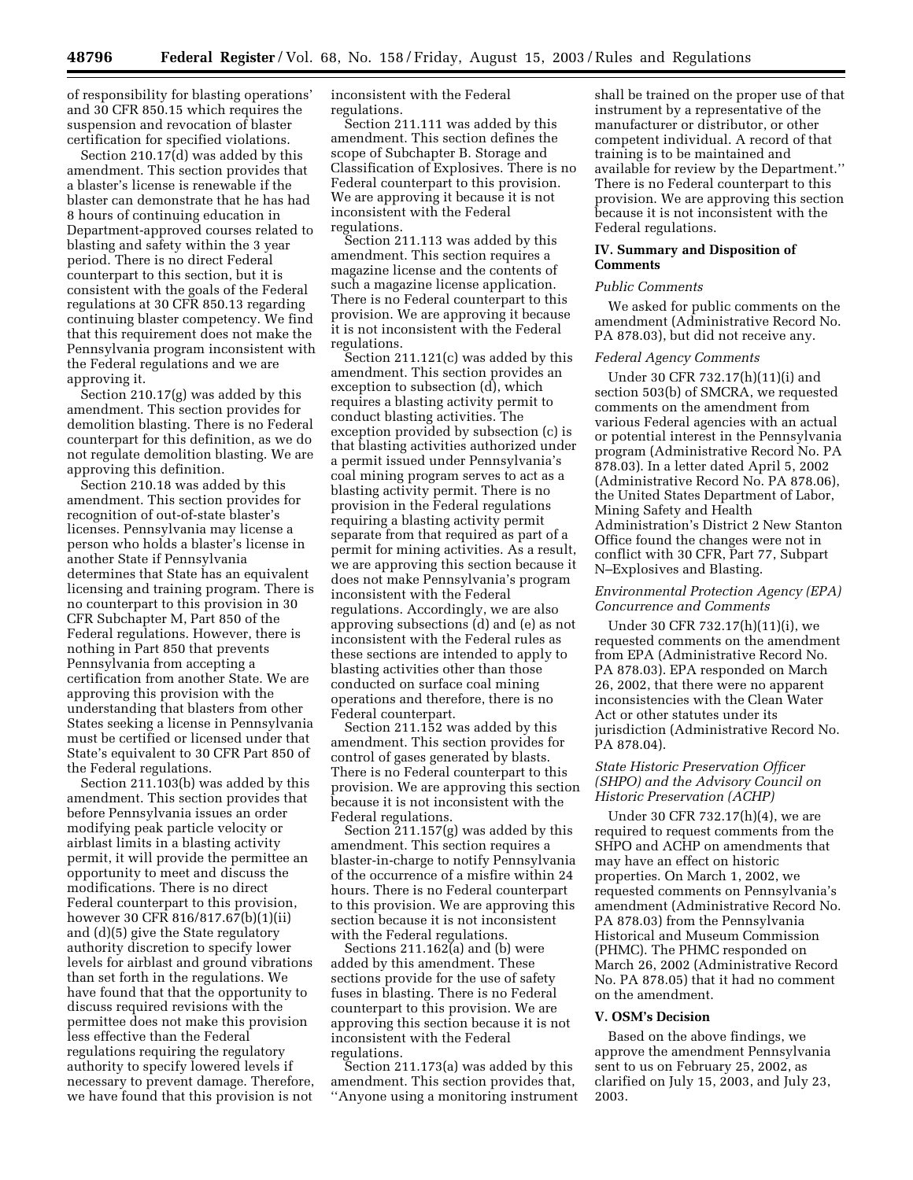of responsibility for blasting operations' and 30 CFR 850.15 which requires the suspension and revocation of blaster certification for specified violations.

Section 210.17(d) was added by this amendment. This section provides that a blaster's license is renewable if the blaster can demonstrate that he has had 8 hours of continuing education in Department-approved courses related to blasting and safety within the 3 year period. There is no direct Federal counterpart to this section, but it is consistent with the goals of the Federal regulations at 30 CFR 850.13 regarding continuing blaster competency. We find that this requirement does not make the Pennsylvania program inconsistent with the Federal regulations and we are approving it.

Section 210.17(g) was added by this amendment. This section provides for demolition blasting. There is no Federal counterpart for this definition, as we do not regulate demolition blasting. We are approving this definition.

Section 210.18 was added by this amendment. This section provides for recognition of out-of-state blaster's licenses. Pennsylvania may license a person who holds a blaster's license in another State if Pennsylvania determines that State has an equivalent licensing and training program. There is no counterpart to this provision in 30 CFR Subchapter M, Part 850 of the Federal regulations. However, there is nothing in Part 850 that prevents Pennsylvania from accepting a certification from another State. We are approving this provision with the understanding that blasters from other States seeking a license in Pennsylvania must be certified or licensed under that State's equivalent to 30 CFR Part 850 of the Federal regulations.

Section 211.103(b) was added by this amendment. This section provides that before Pennsylvania issues an order modifying peak particle velocity or airblast limits in a blasting activity permit, it will provide the permittee an opportunity to meet and discuss the modifications. There is no direct Federal counterpart to this provision, however 30 CFR 816/817.67(b)(1)(ii) and (d)(5) give the State regulatory authority discretion to specify lower levels for airblast and ground vibrations than set forth in the regulations. We have found that that the opportunity to discuss required revisions with the permittee does not make this provision less effective than the Federal regulations requiring the regulatory authority to specify lowered levels if necessary to prevent damage. Therefore, we have found that this provision is not

inconsistent with the Federal regulations.

Section 211.111 was added by this amendment. This section defines the scope of Subchapter B. Storage and Classification of Explosives. There is no Federal counterpart to this provision. We are approving it because it is not inconsistent with the Federal regulations.

Section 211.113 was added by this amendment. This section requires a magazine license and the contents of such a magazine license application. There is no Federal counterpart to this provision. We are approving it because it is not inconsistent with the Federal regulations.

Section 211.121(c) was added by this amendment. This section provides an exception to subsection (d), which requires a blasting activity permit to conduct blasting activities. The exception provided by subsection (c) is that blasting activities authorized under a permit issued under Pennsylvania's coal mining program serves to act as a blasting activity permit. There is no provision in the Federal regulations requiring a blasting activity permit separate from that required as part of a permit for mining activities. As a result, we are approving this section because it does not make Pennsylvania's program inconsistent with the Federal regulations. Accordingly, we are also approving subsections (d) and (e) as not inconsistent with the Federal rules as these sections are intended to apply to blasting activities other than those conducted on surface coal mining operations and therefore, there is no Federal counterpart.

Section 211.152 was added by this amendment. This section provides for control of gases generated by blasts. There is no Federal counterpart to this provision. We are approving this section because it is not inconsistent with the Federal regulations.

Section 211.157(g) was added by this amendment. This section requires a blaster-in-charge to notify Pennsylvania of the occurrence of a misfire within 24 hours. There is no Federal counterpart to this provision. We are approving this section because it is not inconsistent with the Federal regulations.

Sections 211.162(a) and (b) were added by this amendment. These sections provide for the use of safety fuses in blasting. There is no Federal counterpart to this provision. We are approving this section because it is not inconsistent with the Federal regulations.

Section 211.173(a) was added by this amendment. This section provides that, ''Anyone using a monitoring instrument

shall be trained on the proper use of that instrument by a representative of the manufacturer or distributor, or other competent individual. A record of that training is to be maintained and available for review by the Department.'' There is no Federal counterpart to this provision. We are approving this section because it is not inconsistent with the Federal regulations.

#### **IV. Summary and Disposition of Comments**

#### *Public Comments*

We asked for public comments on the amendment (Administrative Record No. PA 878.03), but did not receive any.

#### *Federal Agency Comments*

Under 30 CFR 732.17(h)(11)(i) and section 503(b) of SMCRA, we requested comments on the amendment from various Federal agencies with an actual or potential interest in the Pennsylvania program (Administrative Record No. PA 878.03). In a letter dated April 5, 2002 (Administrative Record No. PA 878.06), the United States Department of Labor, Mining Safety and Health Administration's District 2 New Stanton Office found the changes were not in conflict with 30 CFR, Part 77, Subpart N–Explosives and Blasting.

# *Environmental Protection Agency (EPA) Concurrence and Comments*

Under 30 CFR 732.17(h)(11)(i), we requested comments on the amendment from EPA (Administrative Record No. PA 878.03). EPA responded on March 26, 2002, that there were no apparent inconsistencies with the Clean Water Act or other statutes under its jurisdiction (Administrative Record No. PA 878.04).

## *State Historic Preservation Officer (SHPO) and the Advisory Council on Historic Preservation (ACHP)*

Under 30 CFR 732.17(h)(4), we are required to request comments from the SHPO and ACHP on amendments that may have an effect on historic properties. On March 1, 2002, we requested comments on Pennsylvania's amendment (Administrative Record No. PA 878.03) from the Pennsylvania Historical and Museum Commission (PHMC). The PHMC responded on March 26, 2002 (Administrative Record No. PA 878.05) that it had no comment on the amendment.

#### **V. OSM's Decision**

Based on the above findings, we approve the amendment Pennsylvania sent to us on February 25, 2002, as clarified on July 15, 2003, and July 23, 2003.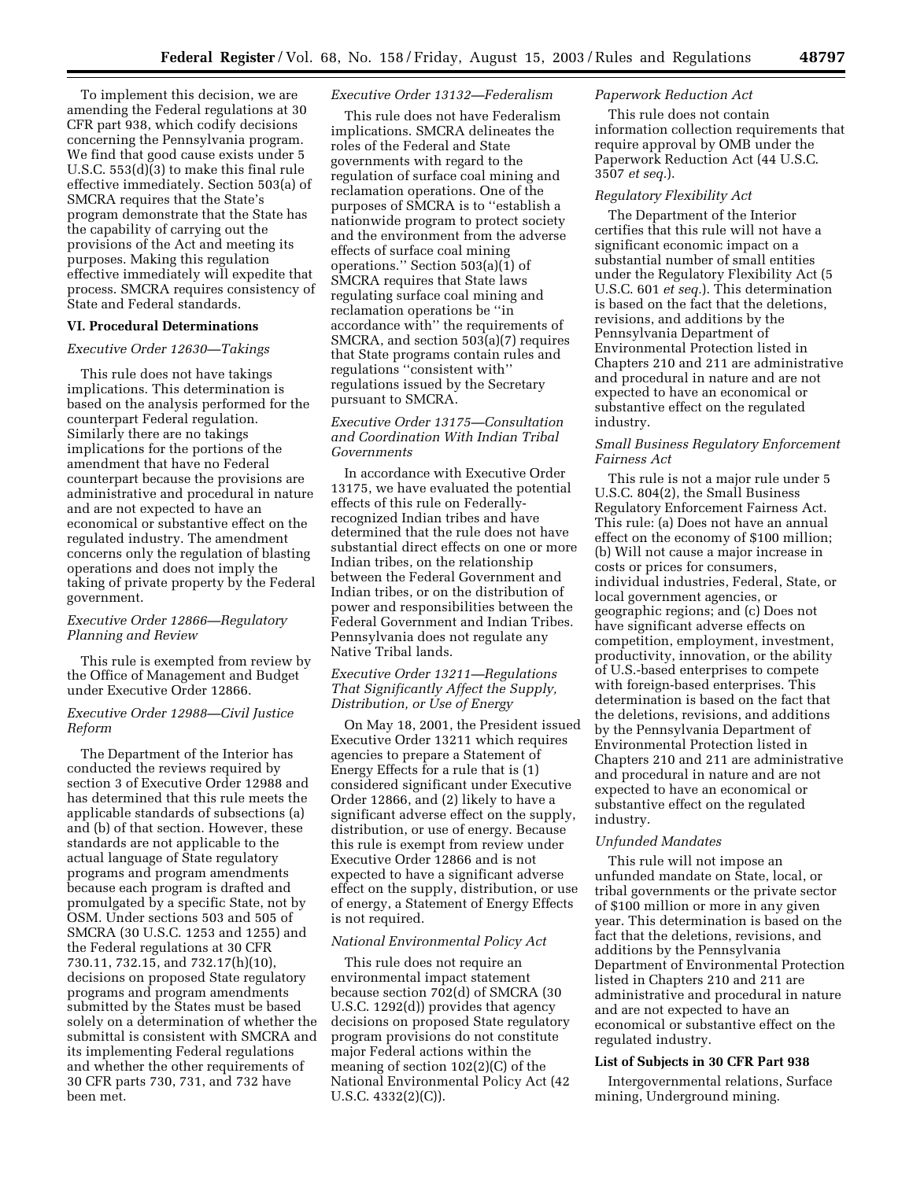To implement this decision, we are amending the Federal regulations at 30 CFR part 938, which codify decisions concerning the Pennsylvania program. We find that good cause exists under 5 U.S.C.  $553(d)(3)$  to make this final rule effective immediately. Section 503(a) of SMCRA requires that the State's program demonstrate that the State has the capability of carrying out the provisions of the Act and meeting its purposes. Making this regulation effective immediately will expedite that process. SMCRA requires consistency of State and Federal standards.

# **VI. Procedural Determinations**

## *Executive Order 12630—Takings*

This rule does not have takings implications. This determination is based on the analysis performed for the counterpart Federal regulation. Similarly there are no takings implications for the portions of the amendment that have no Federal counterpart because the provisions are administrative and procedural in nature and are not expected to have an economical or substantive effect on the regulated industry. The amendment concerns only the regulation of blasting operations and does not imply the taking of private property by the Federal government.

# *Executive Order 12866—Regulatory Planning and Review*

This rule is exempted from review by the Office of Management and Budget under Executive Order 12866.

# *Executive Order 12988—Civil Justice Reform*

The Department of the Interior has conducted the reviews required by section 3 of Executive Order 12988 and has determined that this rule meets the applicable standards of subsections (a) and (b) of that section. However, these standards are not applicable to the actual language of State regulatory programs and program amendments because each program is drafted and promulgated by a specific State, not by OSM. Under sections 503 and 505 of SMCRA (30 U.S.C. 1253 and 1255) and the Federal regulations at 30 CFR 730.11, 732.15, and 732.17(h)(10), decisions on proposed State regulatory programs and program amendments submitted by the States must be based solely on a determination of whether the submittal is consistent with SMCRA and its implementing Federal regulations and whether the other requirements of 30 CFR parts 730, 731, and 732 have been met.

#### *Executive Order 13132—Federalism*

This rule does not have Federalism implications. SMCRA delineates the roles of the Federal and State governments with regard to the regulation of surface coal mining and reclamation operations. One of the purposes of SMCRA is to ''establish a nationwide program to protect society and the environment from the adverse effects of surface coal mining operations.'' Section 503(a)(1) of SMCRA requires that State laws regulating surface coal mining and reclamation operations be ''in accordance with'' the requirements of SMCRA, and section 503(a)(7) requires that State programs contain rules and regulations ''consistent with'' regulations issued by the Secretary pursuant to SMCRA.

# *Executive Order 13175—Consultation and Coordination With Indian Tribal Governments*

In accordance with Executive Order 13175, we have evaluated the potential effects of this rule on Federallyrecognized Indian tribes and have determined that the rule does not have substantial direct effects on one or more Indian tribes, on the relationship between the Federal Government and Indian tribes, or on the distribution of power and responsibilities between the Federal Government and Indian Tribes. Pennsylvania does not regulate any Native Tribal lands.

# *Executive Order 13211—Regulations That Significantly Affect the Supply, Distribution, or Use of Energy*

On May 18, 2001, the President issued Executive Order 13211 which requires agencies to prepare a Statement of Energy Effects for a rule that is (1) considered significant under Executive Order 12866, and (2) likely to have a significant adverse effect on the supply, distribution, or use of energy. Because this rule is exempt from review under Executive Order 12866 and is not expected to have a significant adverse effect on the supply, distribution, or use of energy, a Statement of Energy Effects is not required.

# *National Environmental Policy Act*

This rule does not require an environmental impact statement because section 702(d) of SMCRA (30 U.S.C. 1292(d)) provides that agency decisions on proposed State regulatory program provisions do not constitute major Federal actions within the meaning of section 102(2)(C) of the National Environmental Policy Act (42 U.S.C. 4332(2)(C)).

# *Paperwork Reduction Act*

This rule does not contain information collection requirements that require approval by OMB under the Paperwork Reduction Act (44 U.S.C. 3507 *et seq.*).

## *Regulatory Flexibility Act*

The Department of the Interior certifies that this rule will not have a significant economic impact on a substantial number of small entities under the Regulatory Flexibility Act (5 U.S.C. 601 *et seq.*). This determination is based on the fact that the deletions, revisions, and additions by the Pennsylvania Department of Environmental Protection listed in Chapters 210 and 211 are administrative and procedural in nature and are not expected to have an economical or substantive effect on the regulated industry.

## *Small Business Regulatory Enforcement Fairness Act*

This rule is not a major rule under 5 U.S.C. 804(2), the Small Business Regulatory Enforcement Fairness Act. This rule: (a) Does not have an annual effect on the economy of \$100 million; (b) Will not cause a major increase in costs or prices for consumers, individual industries, Federal, State, or local government agencies, or geographic regions; and (c) Does not have significant adverse effects on competition, employment, investment, productivity, innovation, or the ability of U.S.-based enterprises to compete with foreign-based enterprises. This determination is based on the fact that the deletions, revisions, and additions by the Pennsylvania Department of Environmental Protection listed in Chapters 210 and 211 are administrative and procedural in nature and are not expected to have an economical or substantive effect on the regulated industry.

#### *Unfunded Mandates*

This rule will not impose an unfunded mandate on State, local, or tribal governments or the private sector of \$100 million or more in any given year. This determination is based on the fact that the deletions, revisions, and additions by the Pennsylvania Department of Environmental Protection listed in Chapters 210 and 211 are administrative and procedural in nature and are not expected to have an economical or substantive effect on the regulated industry.

#### **List of Subjects in 30 CFR Part 938**

Intergovernmental relations, Surface mining, Underground mining.